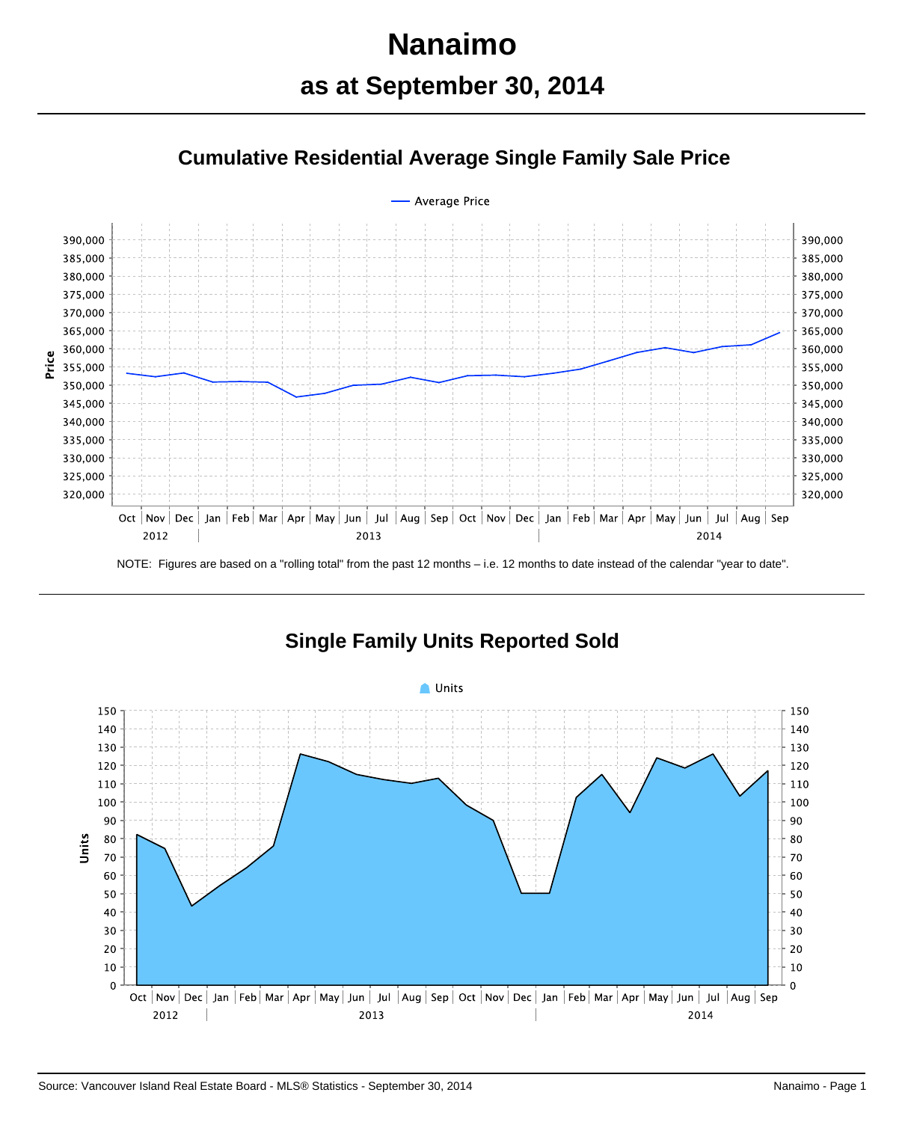# **Nanaimo as at September 30, 2014**

# **Cumulative Residential Average Single Family Sale Price**



NOTE: Figures are based on a "rolling total" from the past 12 months – i.e. 12 months to date instead of the calendar "year to date".



#### **Single Family Units Reported Sold**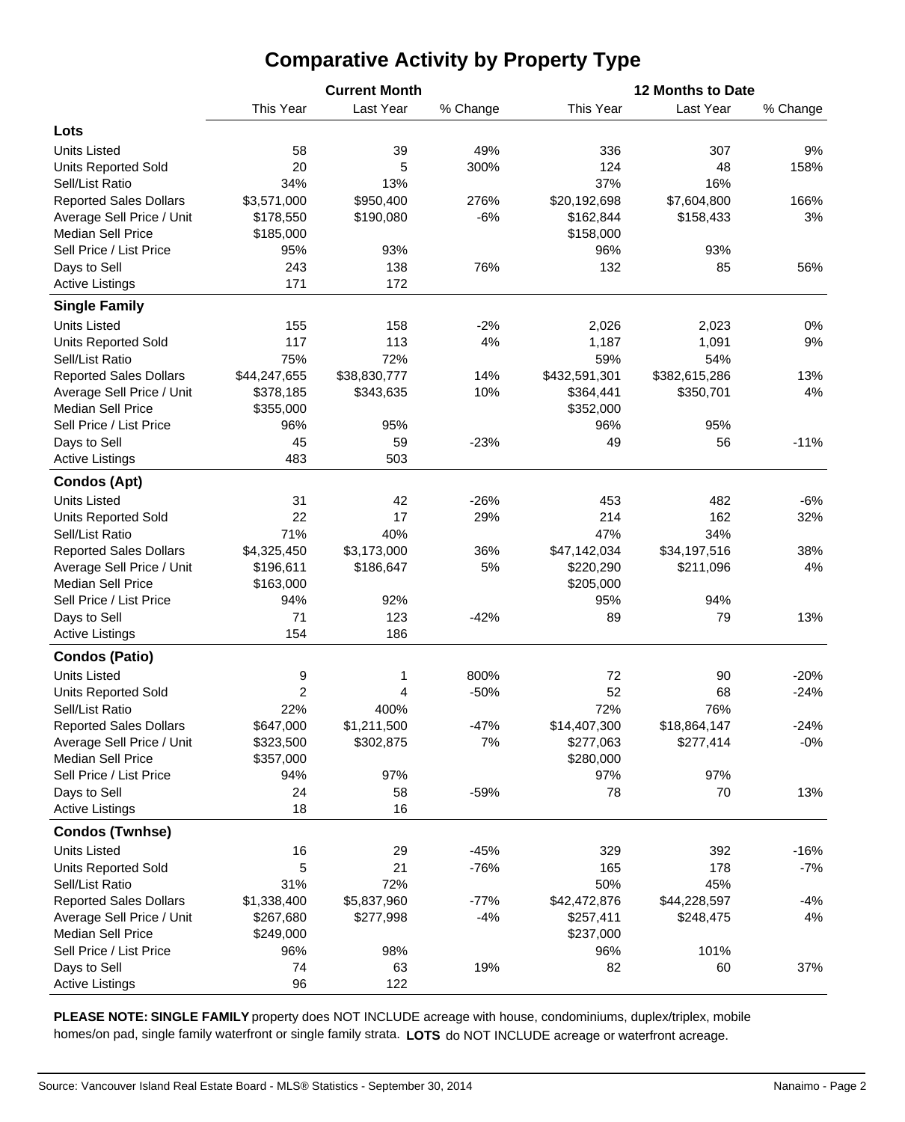## **Comparative Activity by Property Type**

|                               |                | <b>Current Month</b> |          |               | 12 Months to Date |          |  |  |  |  |
|-------------------------------|----------------|----------------------|----------|---------------|-------------------|----------|--|--|--|--|
|                               | This Year      | Last Year            | % Change | This Year     | Last Year         | % Change |  |  |  |  |
| Lots                          |                |                      |          |               |                   |          |  |  |  |  |
| <b>Units Listed</b>           | 58             | 39                   | 49%      | 336           | 307               | 9%       |  |  |  |  |
| <b>Units Reported Sold</b>    | 20             | 5                    | 300%     | 124           | 48                | 158%     |  |  |  |  |
| Sell/List Ratio               | 34%            | 13%                  |          | 37%           | 16%               |          |  |  |  |  |
| <b>Reported Sales Dollars</b> | \$3,571,000    | \$950,400            | 276%     | \$20,192,698  | \$7,604,800       | 166%     |  |  |  |  |
| Average Sell Price / Unit     | \$178,550      | \$190,080            | $-6%$    | \$162,844     | \$158,433         | 3%       |  |  |  |  |
| <b>Median Sell Price</b>      | \$185,000      |                      |          | \$158,000     |                   |          |  |  |  |  |
| Sell Price / List Price       | 95%            | 93%                  |          | 96%           | 93%               |          |  |  |  |  |
| Days to Sell                  | 243            | 138                  | 76%      | 132           | 85                | 56%      |  |  |  |  |
| <b>Active Listings</b>        | 171            | 172                  |          |               |                   |          |  |  |  |  |
| <b>Single Family</b>          |                |                      |          |               |                   |          |  |  |  |  |
|                               |                |                      |          |               |                   |          |  |  |  |  |
| <b>Units Listed</b>           | 155            | 158                  | $-2%$    | 2,026         | 2,023             | 0%       |  |  |  |  |
| <b>Units Reported Sold</b>    | 117            | 113                  | 4%       | 1,187         | 1,091             | 9%       |  |  |  |  |
| Sell/List Ratio               | 75%            | 72%                  |          | 59%           | 54%               |          |  |  |  |  |
| <b>Reported Sales Dollars</b> | \$44,247,655   | \$38,830,777         | 14%      | \$432,591,301 | \$382,615,286     | 13%      |  |  |  |  |
| Average Sell Price / Unit     | \$378,185      | \$343,635            | 10%      | \$364,441     | \$350,701         | 4%       |  |  |  |  |
| <b>Median Sell Price</b>      | \$355,000      |                      |          | \$352,000     |                   |          |  |  |  |  |
| Sell Price / List Price       | 96%            | 95%                  |          | 96%           | 95%               |          |  |  |  |  |
| Days to Sell                  | 45             | 59                   | $-23%$   | 49            | 56                | $-11%$   |  |  |  |  |
| <b>Active Listings</b>        | 483            | 503                  |          |               |                   |          |  |  |  |  |
| <b>Condos (Apt)</b>           |                |                      |          |               |                   |          |  |  |  |  |
| <b>Units Listed</b>           | 31             | 42                   | $-26%$   | 453           | 482               | $-6%$    |  |  |  |  |
| <b>Units Reported Sold</b>    | 22             | 17                   | 29%      | 214           | 162               | 32%      |  |  |  |  |
| Sell/List Ratio               | 71%            | 40%                  |          | 47%           | 34%               |          |  |  |  |  |
| <b>Reported Sales Dollars</b> | \$4,325,450    | \$3,173,000          | 36%      | \$47,142,034  | \$34,197,516      | 38%      |  |  |  |  |
| Average Sell Price / Unit     | \$196,611      | \$186,647            | 5%       | \$220,290     | \$211,096         | 4%       |  |  |  |  |
| <b>Median Sell Price</b>      | \$163,000      |                      |          | \$205,000     |                   |          |  |  |  |  |
| Sell Price / List Price       | 94%            | 92%                  |          | 95%           | 94%               |          |  |  |  |  |
| Days to Sell                  | 71             | 123                  | $-42%$   | 89            | 79                | 13%      |  |  |  |  |
| <b>Active Listings</b>        | 154            | 186                  |          |               |                   |          |  |  |  |  |
| <b>Condos (Patio)</b>         |                |                      |          |               |                   |          |  |  |  |  |
| <b>Units Listed</b>           | 9              | 1                    | 800%     | 72            | 90                | $-20%$   |  |  |  |  |
| Units Reported Sold           | $\overline{2}$ | 4                    | $-50%$   | 52            | 68                | $-24%$   |  |  |  |  |
| Sell/List Ratio               | 22%            | 400%                 |          | 72%           | 76%               |          |  |  |  |  |
| <b>Reported Sales Dollars</b> | \$647,000      | \$1,211,500          | $-47%$   | \$14,407,300  | \$18,864,147      | $-24%$   |  |  |  |  |
| Average Sell Price / Unit     | \$323,500      | \$302,875            | 7%       | \$277,063     | \$277,414         | $-0\%$   |  |  |  |  |
| <b>Median Sell Price</b>      | \$357,000      |                      |          | \$280,000     |                   |          |  |  |  |  |
| Sell Price / List Price       | 94%            | 97%                  |          | 97%           | 97%               |          |  |  |  |  |
| Days to Sell                  | 24             | 58                   | $-59%$   | 78            | 70                | 13%      |  |  |  |  |
| <b>Active Listings</b>        | 18             | 16                   |          |               |                   |          |  |  |  |  |
| <b>Condos (Twnhse)</b>        |                |                      |          |               |                   |          |  |  |  |  |
| <b>Units Listed</b>           | 16             | 29                   | $-45%$   | 329           | 392               | $-16%$   |  |  |  |  |
| Units Reported Sold           | 5              | 21                   | $-76%$   | 165           | 178               | $-7%$    |  |  |  |  |
| Sell/List Ratio               | 31%            | 72%                  |          | 50%           | 45%               |          |  |  |  |  |
| <b>Reported Sales Dollars</b> | \$1,338,400    | \$5,837,960          | $-77%$   | \$42,472,876  | \$44,228,597      | $-4%$    |  |  |  |  |
| Average Sell Price / Unit     | \$267,680      | \$277,998            | $-4%$    | \$257,411     | \$248,475         | 4%       |  |  |  |  |
| <b>Median Sell Price</b>      | \$249,000      |                      |          | \$237,000     |                   |          |  |  |  |  |
| Sell Price / List Price       | 96%            | 98%                  |          | 96%           | 101%              |          |  |  |  |  |
| Days to Sell                  | 74             | 63                   | 19%      | 82            | 60                | 37%      |  |  |  |  |
| <b>Active Listings</b>        | 96             | 122                  |          |               |                   |          |  |  |  |  |

**PLEASE NOTE: SINGLE FAMILY** property does NOT INCLUDE acreage with house, condominiums, duplex/triplex, mobile homes/on pad, single family waterfront or single family strata. **LOTS** do NOT INCLUDE acreage or waterfront acreage.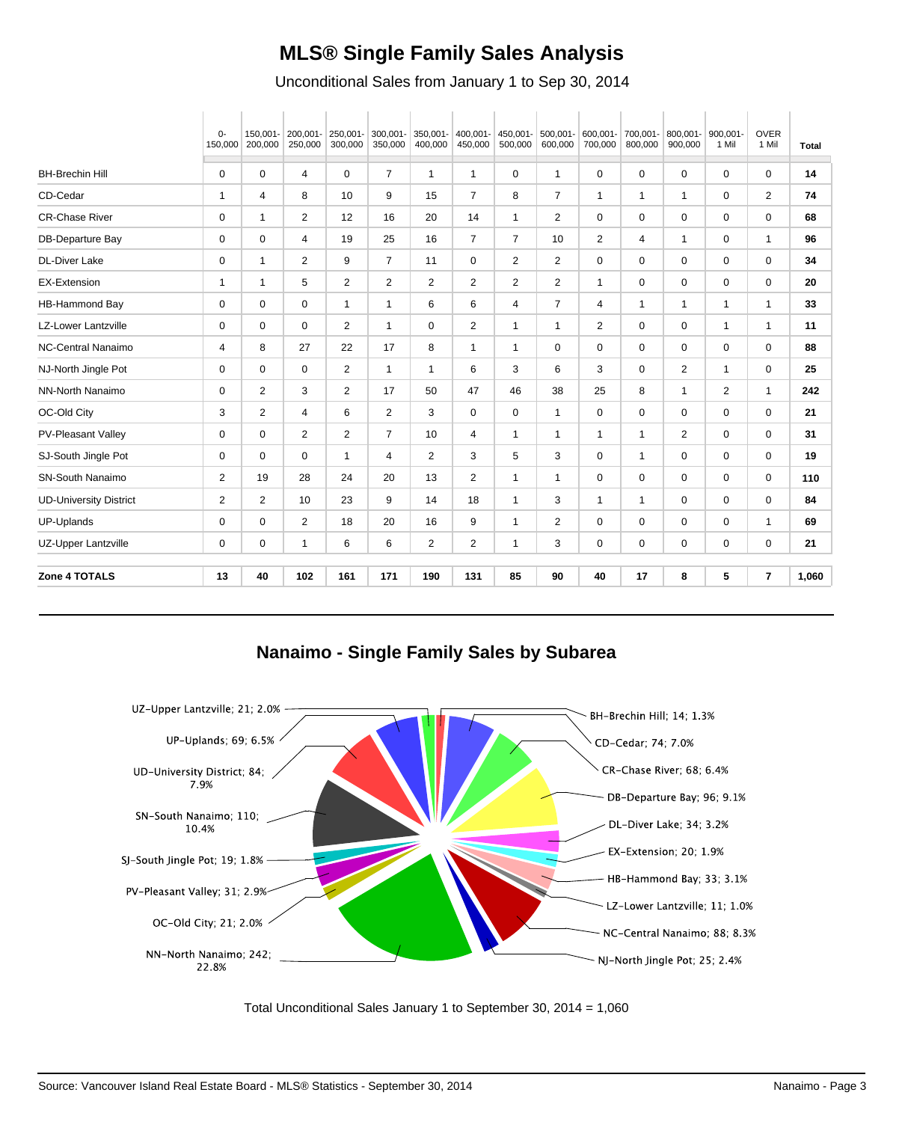#### **MLS® Single Family Sales Analysis**

Unconditional Sales from January 1 to Sep 30, 2014

|                               | $0-$<br>150,000 | 150.001-<br>200,000 | 200,001-<br>250,000 | 250,001-<br>300,000 | 300,001-<br>350,000 | 350,001-<br>400,000 | 400,001-<br>450,000 | 450,001-<br>500,000 | 500,001-<br>600,000 | 600,001-<br>700,000 | 700,001-<br>800,000 | 800,001-<br>900,000 | 900,001-<br>1 Mil | <b>OVER</b><br>1 Mil | <b>Total</b> |
|-------------------------------|-----------------|---------------------|---------------------|---------------------|---------------------|---------------------|---------------------|---------------------|---------------------|---------------------|---------------------|---------------------|-------------------|----------------------|--------------|
| <b>BH-Brechin Hill</b>        | 0               | 0                   | 4                   | 0                   | $\overline{7}$      | $\mathbf{1}$        | $\mathbf{1}$        | 0                   | $\mathbf{1}$        | 0                   | 0                   | $\mathbf 0$         | 0                 | $\mathbf 0$          | 14           |
| CD-Cedar                      | $\mathbf{1}$    | 4                   | 8                   | 10                  | 9                   | 15                  | $\overline{7}$      | 8                   | $\overline{7}$      | $\mathbf 1$         | $\mathbf 1$         | $\mathbf{1}$        | 0                 | $\overline{2}$       | 74           |
| <b>CR-Chase River</b>         | 0               | $\mathbf{1}$        | $\overline{2}$      | 12                  | 16                  | 20                  | 14                  | $\mathbf{1}$        | 2                   | 0                   | 0                   | 0                   | 0                 | $\mathbf 0$          | 68           |
| DB-Departure Bay              | $\mathbf 0$     | 0                   | 4                   | 19                  | 25                  | 16                  | $\overline{7}$      | $\overline{7}$      | 10                  | $\overline{2}$      | 4                   | 1                   | 0                 | $\mathbf{1}$         | 96           |
| <b>DL-Diver Lake</b>          | 0               | $\mathbf{1}$        | 2                   | 9                   | $\overline{7}$      | 11                  | 0                   | 2                   | $\overline{2}$      | 0                   | 0                   | 0                   | 0                 | 0                    | 34           |
| <b>EX-Extension</b>           | $\mathbf{1}$    | $\mathbf{1}$        | 5                   | $\overline{2}$      | 2                   | 2                   | $\overline{2}$      | 2                   | $\overline{2}$      | $\mathbf{1}$        | $\mathbf 0$         | $\mathbf 0$         | $\mathbf 0$       | $\mathbf 0$          | 20           |
| HB-Hammond Bay                | 0               | 0                   | 0                   | $\mathbf{1}$        | $\mathbf 1$         | 6                   | 6                   | 4                   | $\overline{7}$      | 4                   | $\mathbf{1}$        | $\mathbf{1}$        | $\mathbf{1}$      | $\mathbf{1}$         | 33           |
| <b>LZ-Lower Lantzville</b>    | 0               | 0                   | 0                   | $\overline{2}$      | $\mathbf 1$         | 0                   | $\overline{2}$      | $\mathbf{1}$        | $\mathbf{1}$        | $\overline{2}$      | 0                   | 0                   | $\mathbf{1}$      | $\mathbf{1}$         | 11           |
| <b>NC-Central Nanaimo</b>     | 4               | 8                   | 27                  | 22                  | 17                  | 8                   | $\mathbf{1}$        | $\mathbf{1}$        | 0                   | 0                   | 0                   | 0                   | 0                 | $\mathbf 0$          | 88           |
| NJ-North Jingle Pot           | 0               | 0                   | 0                   | 2                   | $\mathbf{1}$        | $\mathbf{1}$        | 6                   | 3                   | 6                   | 3                   | 0                   | 2                   | $\mathbf{1}$      | 0                    | 25           |
| NN-North Nanaimo              | 0               | 2                   | 3                   | $\overline{2}$      | 17                  | 50                  | 47                  | 46                  | 38                  | 25                  | 8                   | $\mathbf{1}$        | 2                 | $\mathbf{1}$         | 242          |
| OC-Old City                   | 3               | 2                   | 4                   | 6                   | $\overline{2}$      | 3                   | 0                   | 0                   | $\mathbf{1}$        | 0                   | 0                   | $\mathbf 0$         | 0                 | 0                    | 21           |
| <b>PV-Pleasant Valley</b>     | 0               | 0                   | 2                   | $\overline{2}$      | $\overline{7}$      | 10                  | 4                   | $\mathbf{1}$        | $\mathbf{1}$        | 1                   | 1                   | 2                   | 0                 | 0                    | 31           |
| SJ-South Jingle Pot           | $\mathbf 0$     | $\mathbf 0$         | $\mathbf 0$         | $\mathbf{1}$        | 4                   | 2                   | 3                   | 5                   | 3                   | $\mathbf 0$         | $\mathbf{1}$        | $\mathbf 0$         | $\mathbf 0$       | $\mathbf 0$          | 19           |
| SN-South Nanaimo              | $\overline{2}$  | 19                  | 28                  | 24                  | 20                  | 13                  | $\overline{2}$      | $\mathbf{1}$        | $\mathbf{1}$        | 0                   | 0                   | 0                   | 0                 | 0                    | 110          |
| <b>UD-University District</b> | $\overline{2}$  | 2                   | 10                  | 23                  | 9                   | 14                  | 18                  | $\mathbf{1}$        | 3                   | 1                   | $\mathbf{1}$        | 0                   | $\mathbf 0$       | 0                    | 84           |
| UP-Uplands                    | $\mathbf 0$     | 0                   | $\overline{2}$      | 18                  | 20                  | 16                  | 9                   | $\mathbf{1}$        | $\overline{2}$      | 0                   | $\mathbf 0$         | $\mathbf 0$         | $\mathbf 0$       | $\mathbf{1}$         | 69           |
| UZ-Upper Lantzville           | 0               | 0                   | $\mathbf{1}$        | 6                   | 6                   | 2                   | $\overline{c}$      | $\mathbf{1}$        | 3                   | 0                   | 0                   | 0                   | 0                 | 0                    | 21           |
| Zone 4 TOTALS                 | 13              | 40                  | 102                 | 161                 | 171                 | 190                 | 131                 | 85                  | 90                  | 40                  | 17                  | 8                   | 5                 | $\overline{7}$       | 1,060        |

**Nanaimo - Single Family Sales by Subarea**



Total Unconditional Sales January 1 to September 30, 2014 = 1,060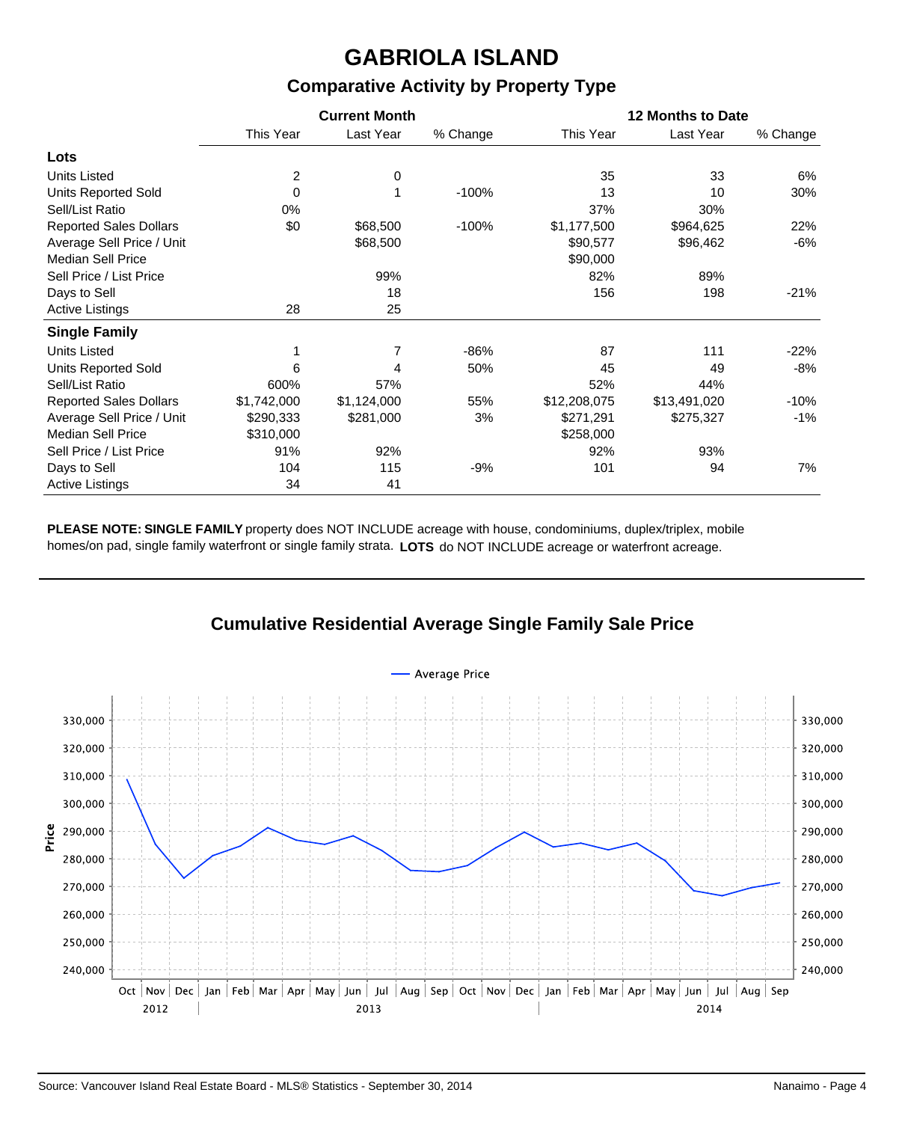# **GABRIOLA ISLAND**

#### **Comparative Activity by Property Type**

|                               |             | <b>Current Month</b> |          | <b>12 Months to Date</b> |              |          |  |  |  |  |
|-------------------------------|-------------|----------------------|----------|--------------------------|--------------|----------|--|--|--|--|
|                               | This Year   | Last Year            | % Change | This Year                | Last Year    | % Change |  |  |  |  |
| Lots                          |             |                      |          |                          |              |          |  |  |  |  |
| <b>Units Listed</b>           | 2           | 0                    |          | 35                       | 33           | 6%       |  |  |  |  |
| <b>Units Reported Sold</b>    | $\mathbf 0$ |                      | $-100%$  | 13                       | 10           | 30%      |  |  |  |  |
| Sell/List Ratio               | 0%          |                      |          | 37%                      | 30%          |          |  |  |  |  |
| <b>Reported Sales Dollars</b> | \$0         | \$68,500             | $-100%$  | \$1,177,500              | \$964,625    | 22%      |  |  |  |  |
| Average Sell Price / Unit     |             | \$68,500             |          | \$90,577                 | \$96,462     | $-6%$    |  |  |  |  |
| <b>Median Sell Price</b>      |             |                      |          | \$90,000                 |              |          |  |  |  |  |
| Sell Price / List Price       |             | 99%                  |          | 82%                      | 89%          |          |  |  |  |  |
| Days to Sell                  |             | 18                   |          | 156                      | 198          | $-21%$   |  |  |  |  |
| <b>Active Listings</b>        | 28          | 25                   |          |                          |              |          |  |  |  |  |
| <b>Single Family</b>          |             |                      |          |                          |              |          |  |  |  |  |
| <b>Units Listed</b>           |             |                      | $-86%$   | 87                       | 111          | $-22%$   |  |  |  |  |
| <b>Units Reported Sold</b>    | 6           | 4                    | 50%      | 45                       | 49           | -8%      |  |  |  |  |
| Sell/List Ratio               | 600%        | 57%                  |          | 52%                      | 44%          |          |  |  |  |  |
| <b>Reported Sales Dollars</b> | \$1,742,000 | \$1,124,000          | 55%      | \$12,208,075             | \$13,491,020 | $-10%$   |  |  |  |  |
| Average Sell Price / Unit     | \$290,333   | \$281,000            | 3%       | \$271,291                | \$275,327    | $-1%$    |  |  |  |  |
| <b>Median Sell Price</b>      | \$310,000   |                      |          | \$258,000                |              |          |  |  |  |  |
| Sell Price / List Price       | 91%         | 92%                  |          | 92%                      | 93%          |          |  |  |  |  |
| Days to Sell                  | 104         | 115                  | $-9%$    | 101                      | 94           | 7%       |  |  |  |  |
| <b>Active Listings</b>        | 34          | 41                   |          |                          |              |          |  |  |  |  |

**PLEASE NOTE: SINGLE FAMILY** property does NOT INCLUDE acreage with house, condominiums, duplex/triplex, mobile homes/on pad, single family waterfront or single family strata. **LOTS** do NOT INCLUDE acreage or waterfront acreage.

#### **Cumulative Residential Average Single Family Sale Price**